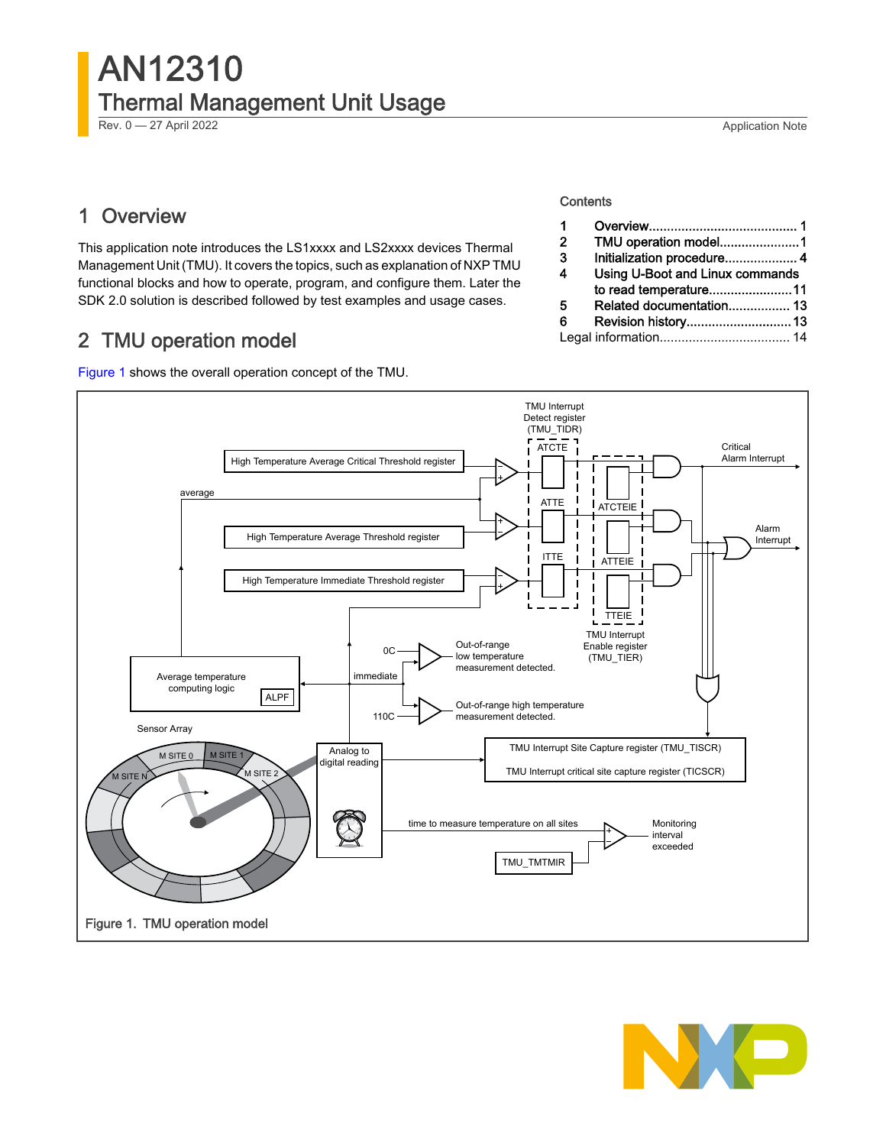## 1 Overview

This application note introduces the LS1xxxx and LS2xxxx devices Thermal Management Unit (TMU). It covers the topics, such as explanation of NXP TMU functional blocks and how to operate, program, and configure them. Later the SDK 2.0 solution is described followed by test examples and usage cases.

## 2 TMU operation model

Figure 1 shows the overall operation concept of the TMU.

#### **Contents**

| TMU operation model1            |                       |
|---------------------------------|-----------------------|
| Initialization procedure 4      |                       |
| Using U-Boot and Linux commands |                       |
|                                 |                       |
| Related documentation 13        |                       |
|                                 |                       |
|                                 |                       |
|                                 | to read temperature11 |

TMU Interrupt Detect register (TMU\_TIDR) ATCTE Critical Alarm Interrupt High Temperature Average Critical Threshold register average ATTE ATCTElE Alarm High Temperature Average Threshold register Interrupt ITTE ATTEIE High Temperature Immediate Threshold register - 1 TTEIE TMU Interrupt Out-of-range Enable register  $0C$ low temperature (TMU\_TIER) measurement detected. Average temperature immediate computing logic ALPF Out-of-range high temperature 110C measurement detected. Sensor Array TMU Interrupt Site Capture register (TMU\_TISCR) Analog to M SITE M SITE 0 digital reading TMU Interrupt critical site capture register (TICSCR)  $M$  SITE N M SITE 2 <sup>12</sup> <sup>1</sup> time to measure temperature on all sites Monitoring  $\sum_{i=1}^n$ 2 interval exceeded TMU\_TMTMIR Figure 1. TMU operation model

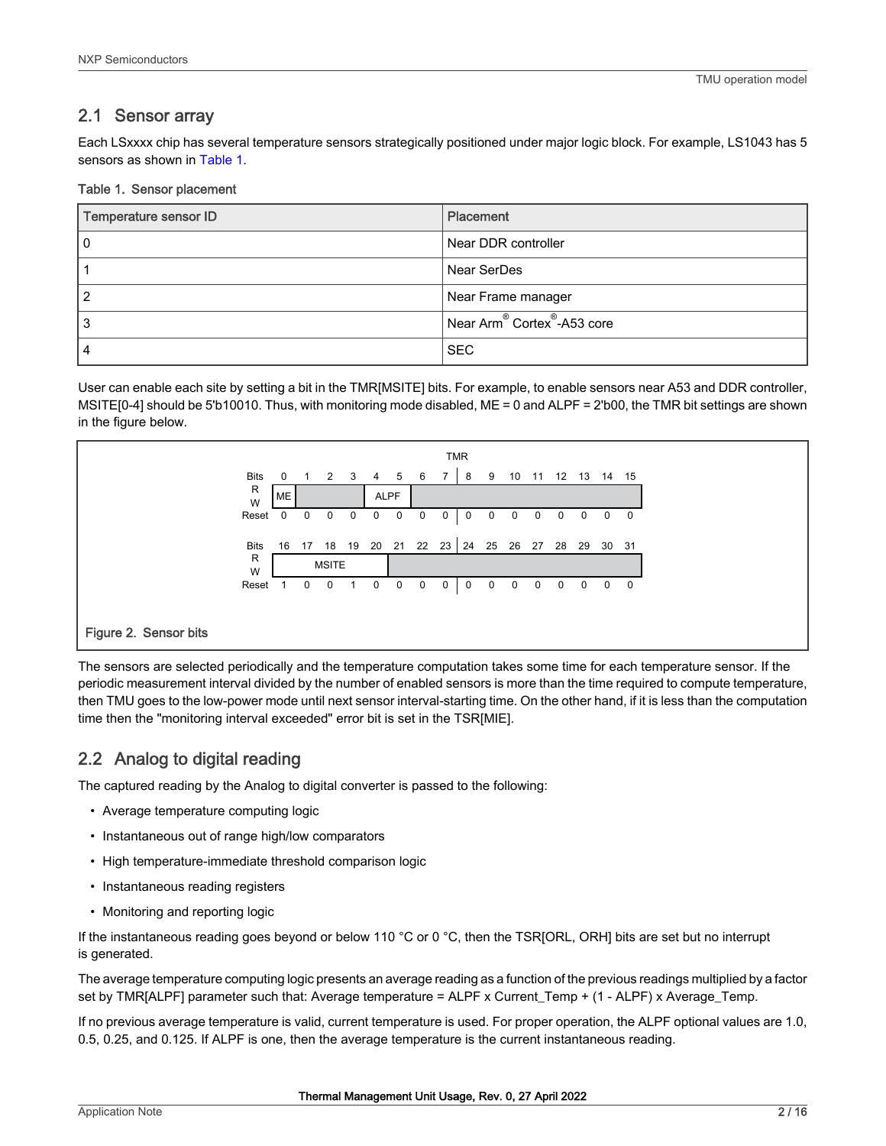#### 2.1 Sensor array

Each LSxxxx chip has several temperature sensors strategically positioned under major logic block. For example, LS1043 has 5 sensors as shown in Table 1.

#### Table 1. Sensor placement

| Temperature sensor ID | Placement                                           |
|-----------------------|-----------------------------------------------------|
|                       | Near DDR controller                                 |
|                       | Near SerDes                                         |
| າ                     | Near Frame manager                                  |
|                       | Near Arm <sup>®</sup> Cortex <sup>®</sup> -A53 core |
|                       | <b>SEC</b>                                          |

User can enable each site by setting a bit in the TMR[MSITE] bits. For example, to enable sensors near A53 and DDR controller, MSITE[0-4] should be 5'b10010. Thus, with monitoring mode disabled, ME = 0 and ALPF = 2'b00, the TMR bit settings are shown in the figure below.



The sensors are selected periodically and the temperature computation takes some time for each temperature sensor. If the periodic measurement interval divided by the number of enabled sensors is more than the time required to compute temperature, then TMU goes to the low-power mode until next sensor interval-starting time. On the other hand, if it is less than the computation time then the "monitoring interval exceeded" error bit is set in the TSR[MIE].

## 2.2 Analog to digital reading

The captured reading by the Analog to digital converter is passed to the following:

- Average temperature computing logic
- Instantaneous out of range high/low comparators
- High temperature-immediate threshold comparison logic
- Instantaneous reading registers
- Monitoring and reporting logic

If the instantaneous reading goes beyond or below 110 °C or 0 °C, then the TSR[ORL, ORH] bits are set but no interrupt is generated.

The average temperature computing logic presents an average reading as a function of the previous readings multiplied by a factor set by TMR[ALPF] parameter such that: Average temperature = ALPF x Current\_Temp + (1 - ALPF) x Average\_Temp.

If no previous average temperature is valid, current temperature is used. For proper operation, the ALPF optional values are 1.0, 0.5, 0.25, and 0.125. If ALPF is one, then the average temperature is the current instantaneous reading.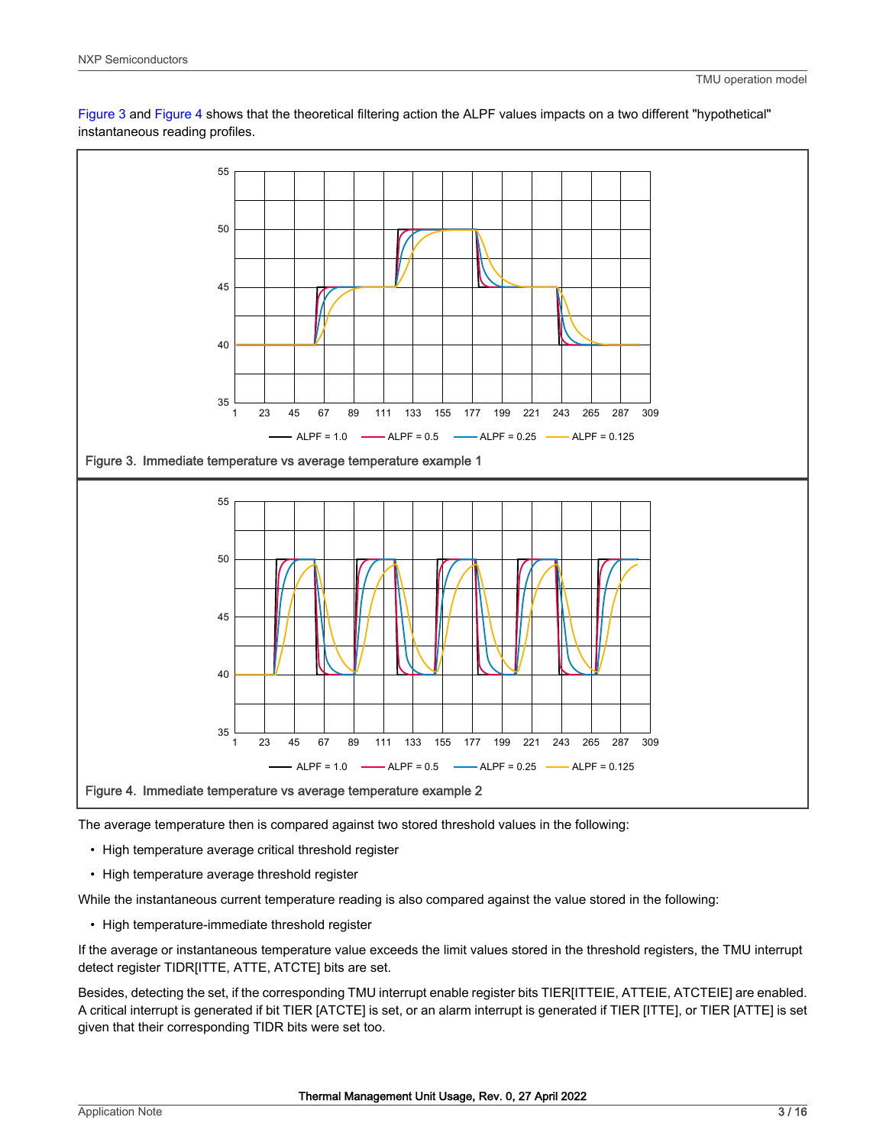



The average temperature then is compared against two stored threshold values in the following:

- High temperature average critical threshold register
- High temperature average threshold register

While the instantaneous current temperature reading is also compared against the value stored in the following:

• High temperature-immediate threshold register

If the average or instantaneous temperature value exceeds the limit values stored in the threshold registers, the TMU interrupt detect register TIDR[ITTE, ATTE, ATCTE] bits are set.

Besides, detecting the set, if the corresponding TMU interrupt enable register bits TIER[ITTEIE, ATTEIE, ATCTEIE] are enabled. A critical interrupt is generated if bit TIER [ATCTE] is set, or an alarm interrupt is generated if TIER [ITTE], or TIER [ATTE] is set given that their corresponding TIDR bits were set too.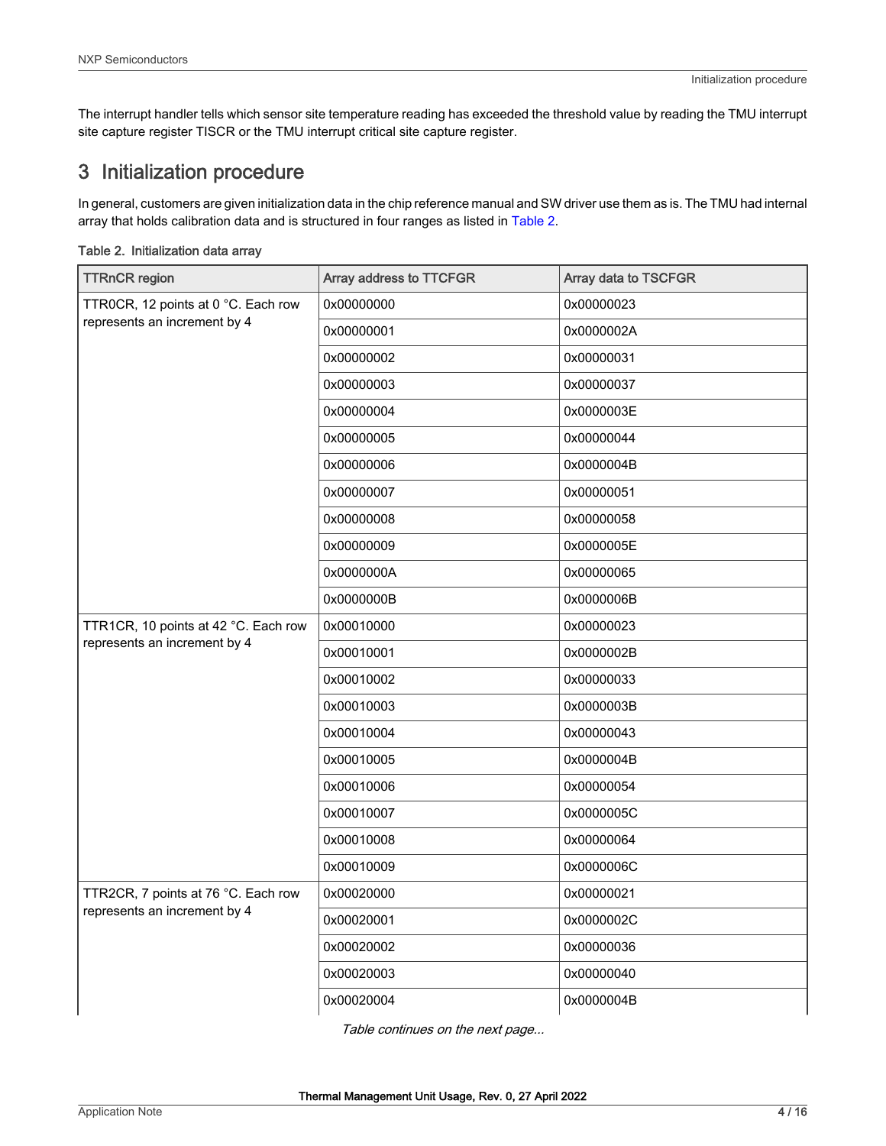<span id="page-3-0"></span>The interrupt handler tells which sensor site temperature reading has exceeded the threshold value by reading the TMU interrupt site capture register TISCR or the TMU interrupt critical site capture register.

## 3 Initialization procedure

In general, customers are given initialization data in the chip reference manual and SW driver use them as is. The TMU had internal array that holds calibration data and is structured in four ranges as listed in Table 2.

| <b>TTRnCR</b> region                 | Array address to TTCFGR | Array data to TSCFGR |
|--------------------------------------|-------------------------|----------------------|
| TTR0CR, 12 points at 0 °C. Each row  | 0x00000000              | 0x00000023           |
| represents an increment by 4         | 0x00000001              | 0x0000002A           |
|                                      | 0x00000002              | 0x00000031           |
|                                      | 0x00000003              | 0x00000037           |
|                                      | 0x00000004              | 0x0000003E           |
|                                      | 0x00000005              | 0x00000044           |
|                                      | 0x00000006              | 0x0000004B           |
|                                      | 0x00000007              | 0x00000051           |
|                                      | 0x00000008              | 0x00000058           |
|                                      | 0x00000009              | 0x0000005E           |
|                                      | 0x0000000A              | 0x00000065           |
|                                      | 0x0000000B              | 0x0000006B           |
| TTR1CR, 10 points at 42 °C. Each row | 0x00010000              | 0x00000023           |
| represents an increment by 4         | 0x00010001              | 0x0000002B           |
|                                      | 0x00010002              | 0x00000033           |
|                                      | 0x00010003              | 0x0000003B           |
|                                      | 0x00010004              | 0x00000043           |
|                                      | 0x00010005              | 0x0000004B           |
|                                      | 0x00010006              | 0x00000054           |
|                                      | 0x00010007              | 0x0000005C           |
|                                      | 0x00010008              | 0x00000064           |
|                                      | 0x00010009              | 0x0000006C           |
| TTR2CR, 7 points at 76 °C. Each row  | 0x00020000              | 0x00000021           |
| represents an increment by 4         | 0x00020001              | 0x0000002C           |
|                                      | 0x00020002              | 0x00000036           |
|                                      | 0x00020003              | 0x00000040           |
|                                      | 0x00020004              | 0x0000004B           |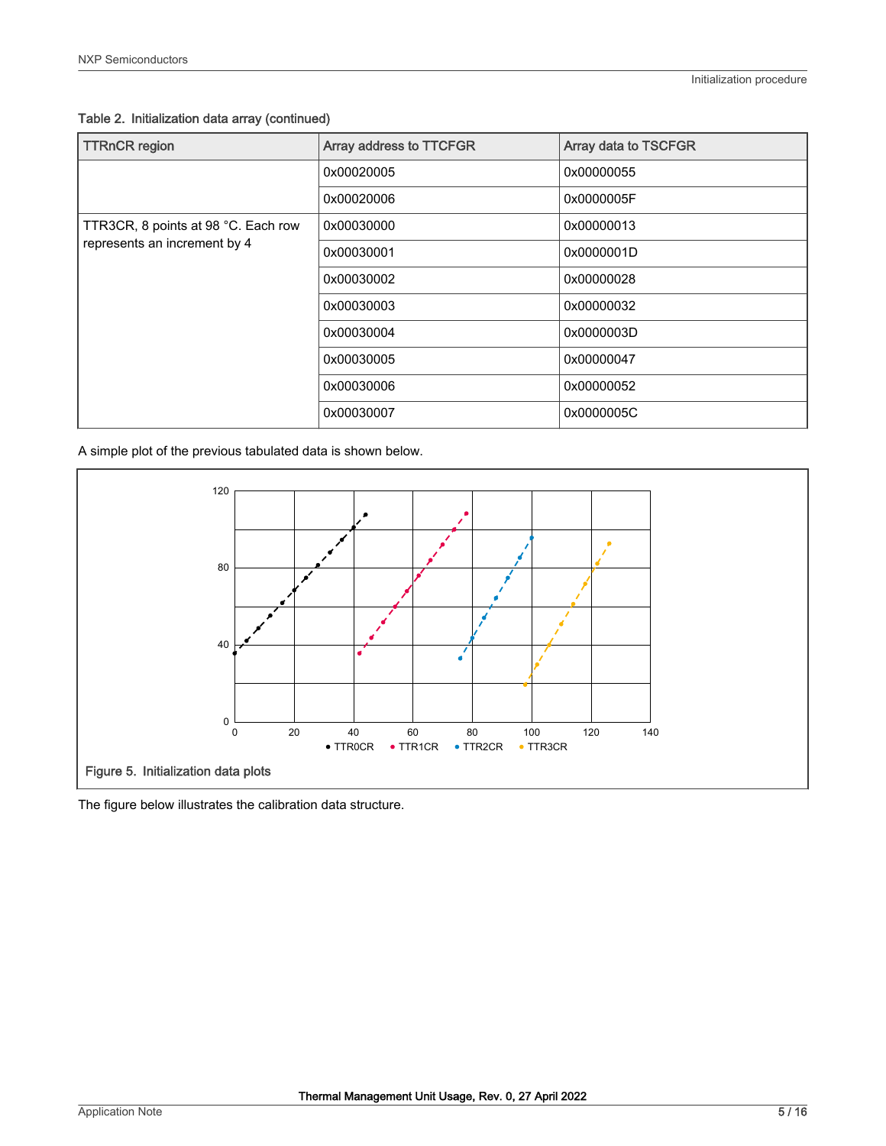Table 2. Initialization data array (continued)

| <b>TTRnCR</b> region                | Array address to TTCFGR | <b>Array data to TSCFGR</b> |
|-------------------------------------|-------------------------|-----------------------------|
|                                     | 0x00020005              | 0x00000055                  |
|                                     | 0x00020006              | 0x0000005F                  |
| TTR3CR, 8 points at 98 °C. Each row | 0x00030000              | 0x00000013                  |
| represents an increment by 4        | 0x00030001              | 0x0000001D                  |
|                                     | 0x00030002              | 0x00000028                  |
|                                     | 0x00030003              | 0x00000032                  |
|                                     | 0x00030004              | 0x0000003D                  |
|                                     | 0x00030005              | 0x00000047                  |
|                                     | 0x00030006              | 0x00000052                  |
|                                     | 0x00030007              | 0x0000005C                  |

A simple plot of the previous tabulated data is shown below.



The figure below illustrates the calibration data structure.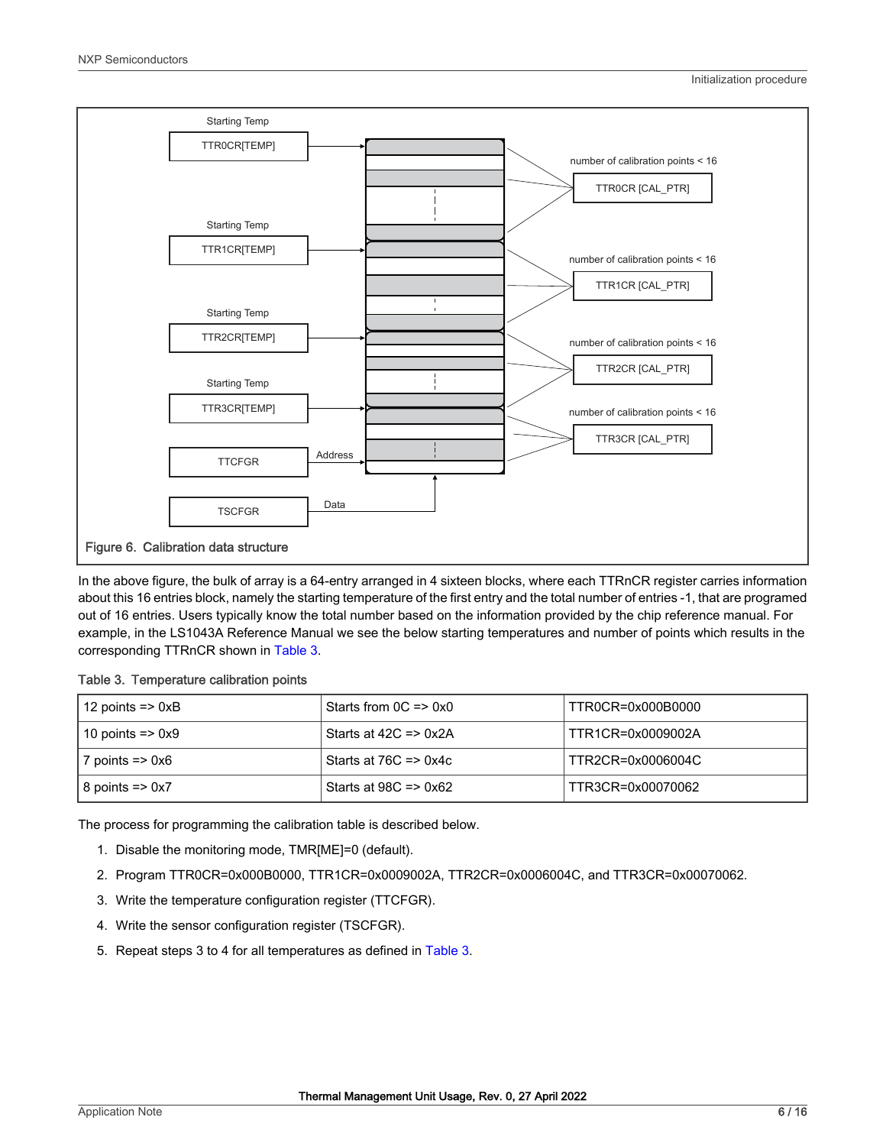

In the above figure, the bulk of array is a 64-entry arranged in 4 sixteen blocks, where each TTRnCR register carries information about this 16 entries block, namely the starting temperature of the first entry and the total number of entries -1, that are programed out of 16 entries. Users typically know the total number based on the information provided by the chip reference manual. For example, in the LS1043A Reference Manual we see the below starting temperatures and number of points which results in the corresponding TTRnCR shown in Table 3.

#### Table 3. Temperature calibration points

| 12 points => $0xB$ | Starts from $0C \Rightarrow 0x0$ | TTR0CR=0x000B0000 |
|--------------------|----------------------------------|-------------------|
| 10 points => 0x9   | Starts at $42C \Rightarrow 0x2A$ | TTR1CR=0x0009002A |
| 7 points => 0x6    | Starts at $76C \Rightarrow 0x4C$ | TTR2CR=0x0006004C |
| $ 8$ points => 0x7 | Starts at $98C \Rightarrow 0x62$ | TTR3CR=0x00070062 |

The process for programming the calibration table is described below.

- 1. Disable the monitoring mode, TMR[ME]=0 (default).
- 2. Program TTR0CR=0x000B0000, TTR1CR=0x0009002A, TTR2CR=0x0006004C, and TTR3CR=0x00070062.
- 3. Write the temperature configuration register (TTCFGR).
- 4. Write the sensor configuration register (TSCFGR).
- 5. Repeat steps 3 to 4 for all temperatures as defined in Table 3.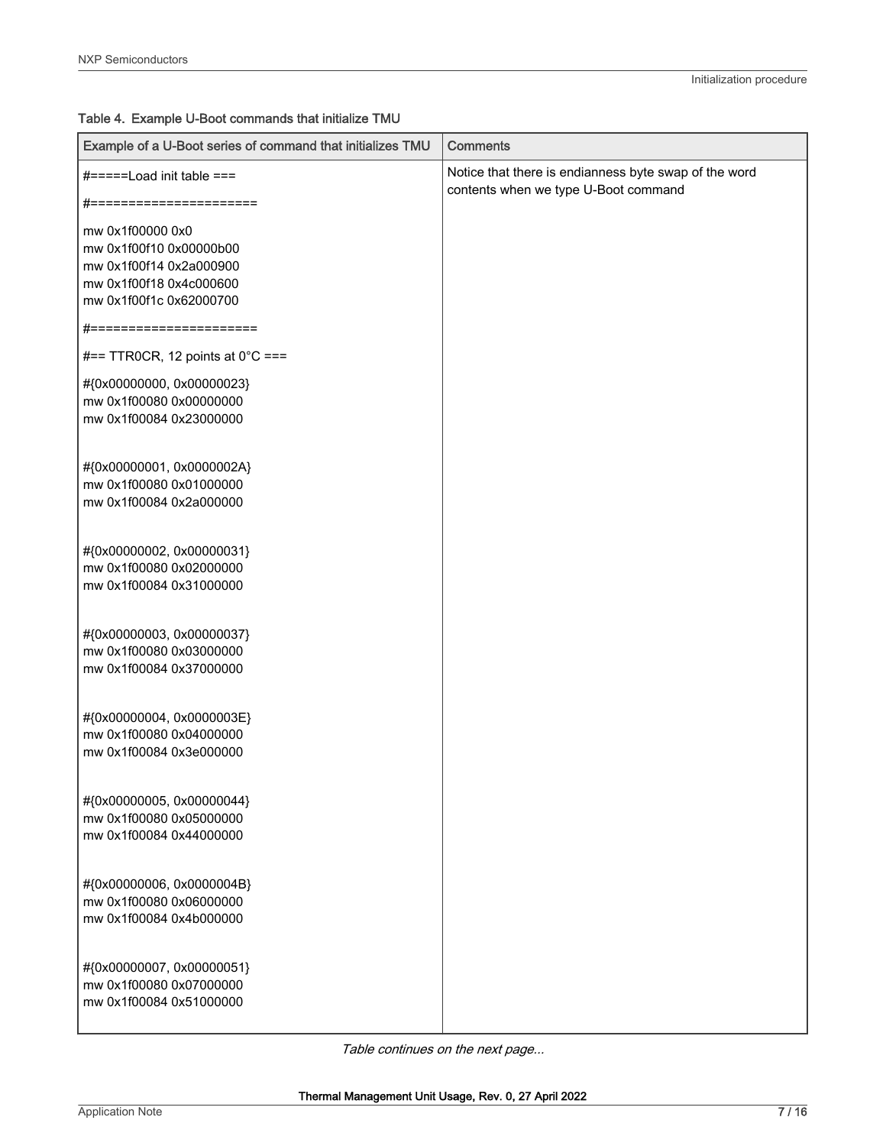| Example of a U-Boot series of command that initializes TMU | <b>Comments</b>                                                                               |
|------------------------------------------------------------|-----------------------------------------------------------------------------------------------|
| #=====Load init table ===<br>#=======================      | Notice that there is endianness byte swap of the word<br>contents when we type U-Boot command |
| mw 0x1f00000 0x0                                           |                                                                                               |
| mw 0x1f00f10 0x00000b00                                    |                                                                                               |
| mw 0x1f00f14 0x2a000900                                    |                                                                                               |
| mw 0x1f00f18 0x4c000600                                    |                                                                                               |
| mw 0x1f00f1c 0x62000700                                    |                                                                                               |
| #=======================                                   |                                                                                               |
| #== TTR0CR, 12 points at $0^{\circ}$ C ===                 |                                                                                               |
| #{0x00000000, 0x00000023}                                  |                                                                                               |
| mw 0x1f00080 0x00000000                                    |                                                                                               |
| mw 0x1f00084 0x23000000                                    |                                                                                               |
| #{0x00000001, 0x0000002A}                                  |                                                                                               |
| mw 0x1f00080 0x01000000                                    |                                                                                               |
| mw 0x1f00084 0x2a000000                                    |                                                                                               |
|                                                            |                                                                                               |
| #{0x00000002, 0x00000031}                                  |                                                                                               |
| mw 0x1f00080 0x02000000                                    |                                                                                               |
| mw 0x1f00084 0x31000000                                    |                                                                                               |
|                                                            |                                                                                               |
| #{0x00000003, 0x00000037}                                  |                                                                                               |
| mw 0x1f00080 0x03000000                                    |                                                                                               |
| mw 0x1f00084 0x37000000                                    |                                                                                               |
|                                                            |                                                                                               |
| #{0x00000004, 0x0000003E}                                  |                                                                                               |
| mw 0x1f00080 0x04000000                                    |                                                                                               |
| mw 0x1f00084 0x3e000000                                    |                                                                                               |
|                                                            |                                                                                               |
| #{0x00000005, 0x00000044}<br>mw 0x1f00080 0x05000000       |                                                                                               |
| mw 0x1f00084 0x44000000                                    |                                                                                               |
|                                                            |                                                                                               |
| #{0x00000006, 0x0000004B}                                  |                                                                                               |
| mw 0x1f00080 0x06000000                                    |                                                                                               |
| mw 0x1f00084 0x4b000000                                    |                                                                                               |
|                                                            |                                                                                               |
| #{0x00000007, 0x00000051}                                  |                                                                                               |
| mw 0x1f00080 0x07000000                                    |                                                                                               |
| mw 0x1f00084 0x51000000                                    |                                                                                               |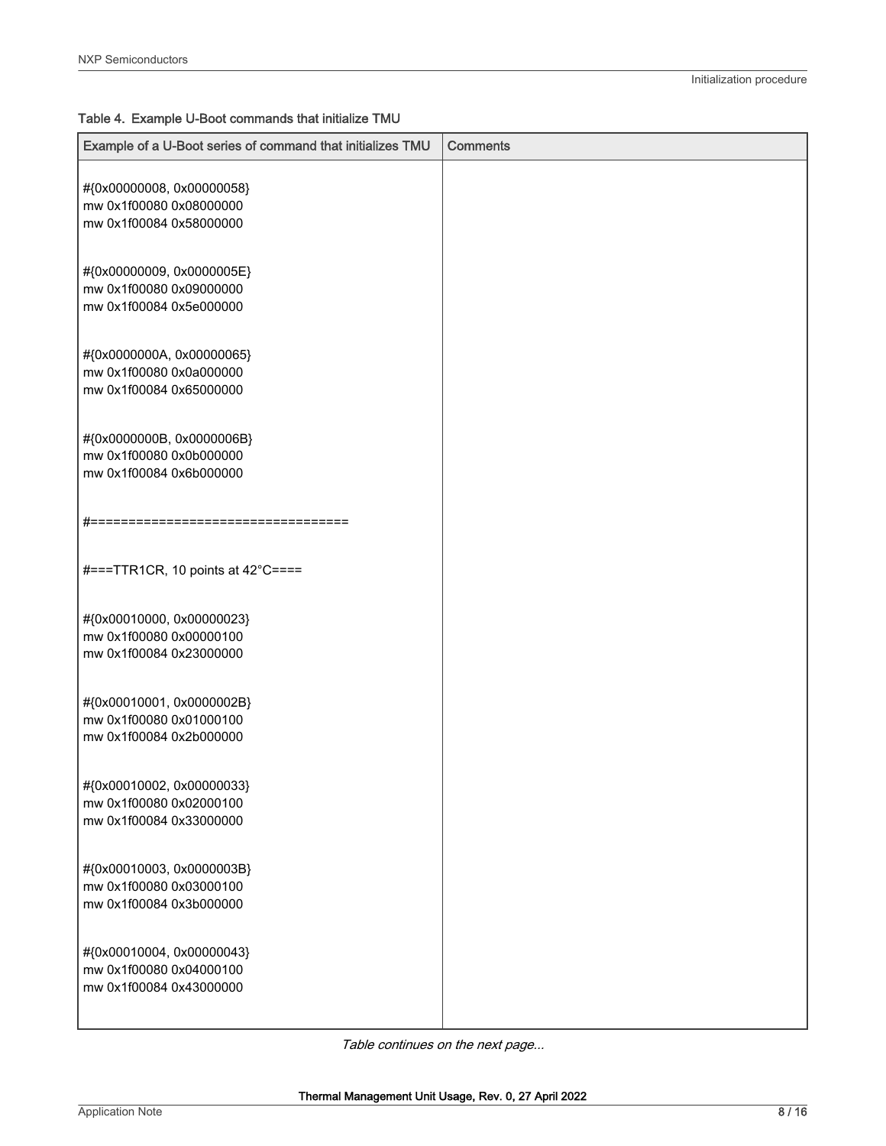| Example of a U-Boot series of command that initializes TMU | <b>Comments</b> |
|------------------------------------------------------------|-----------------|
|                                                            |                 |
| #{0x00000008, 0x00000058}                                  |                 |
| mw 0x1f00080 0x08000000                                    |                 |
| mw 0x1f00084 0x58000000                                    |                 |
| #{0x00000009, 0x0000005E}                                  |                 |
| mw 0x1f00080 0x09000000                                    |                 |
| mw 0x1f00084 0x5e000000                                    |                 |
|                                                            |                 |
| #{0x0000000A, 0x00000065}                                  |                 |
| mw 0x1f00080 0x0a000000                                    |                 |
| mw 0x1f00084 0x65000000                                    |                 |
|                                                            |                 |
| #{0x0000000B, 0x0000006B}                                  |                 |
| mw 0x1f00080 0x0b000000                                    |                 |
| mw 0x1f00084 0x6b000000                                    |                 |
|                                                            |                 |
| #===================================                       |                 |
|                                                            |                 |
| #===TTR1CR, 10 points at 42°C====                          |                 |
|                                                            |                 |
| #{0x00010000, 0x00000023}                                  |                 |
| mw 0x1f00080 0x00000100                                    |                 |
| mw 0x1f00084 0x23000000                                    |                 |
|                                                            |                 |
| #{0x00010001, 0x0000002B}                                  |                 |
| mw 0x1f00080 0x01000100                                    |                 |
| mw 0x1f00084 0x2b000000                                    |                 |
|                                                            |                 |
| #{0x00010002, 0x00000033}                                  |                 |
| mw 0x1f00080 0x02000100                                    |                 |
| mw 0x1f00084 0x33000000                                    |                 |
|                                                            |                 |
| #{0x00010003, 0x0000003B}                                  |                 |
| mw 0x1f00080 0x03000100                                    |                 |
| mw 0x1f00084 0x3b000000                                    |                 |
|                                                            |                 |
| #{0x00010004, 0x00000043}                                  |                 |
| mw 0x1f00080 0x04000100                                    |                 |
| mw 0x1f00084 0x43000000                                    |                 |
|                                                            |                 |
|                                                            |                 |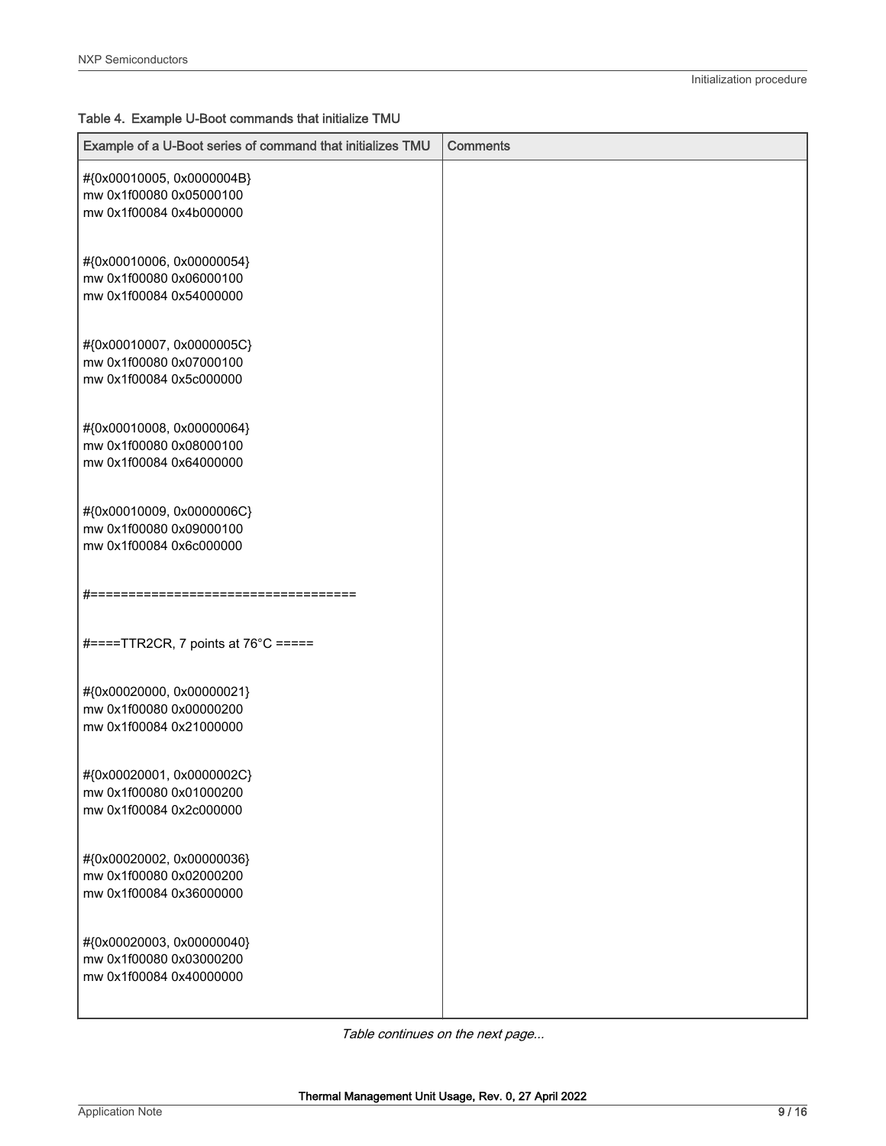| Example of a U-Boot series of command that initializes TMU | <b>Comments</b> |
|------------------------------------------------------------|-----------------|
| #{0x00010005, 0x0000004B}                                  |                 |
| mw 0x1f00080 0x05000100                                    |                 |
| mw 0x1f00084 0x4b000000                                    |                 |
| #{0x00010006, 0x00000054}                                  |                 |
| mw 0x1f00080 0x06000100                                    |                 |
| mw 0x1f00084 0x54000000                                    |                 |
| #{0x00010007, 0x0000005C}                                  |                 |
| mw 0x1f00080 0x07000100                                    |                 |
| mw 0x1f00084 0x5c000000                                    |                 |
| #{0x00010008, 0x00000064}                                  |                 |
| mw 0x1f00080 0x08000100                                    |                 |
| mw 0x1f00084 0x64000000                                    |                 |
| #{0x00010009, 0x0000006C}                                  |                 |
| mw 0x1f00080 0x09000100                                    |                 |
| mw 0x1f00084 0x6c000000                                    |                 |
| #=====================================                     |                 |
| #====TTR2CR, 7 points at 76°C =====                        |                 |
| #{0x00020000, 0x00000021}                                  |                 |
| mw 0x1f00080 0x00000200                                    |                 |
| mw 0x1f00084 0x21000000                                    |                 |
| #{0x00020001, 0x0000002C}                                  |                 |
| mw 0x1f00080 0x01000200                                    |                 |
| mw 0x1f00084 0x2c000000                                    |                 |
| #{0x00020002, 0x00000036}                                  |                 |
| mw 0x1f00080 0x02000200                                    |                 |
| mw 0x1f00084 0x36000000                                    |                 |
| #{0x00020003, 0x00000040}                                  |                 |
| mw 0x1f00080 0x03000200                                    |                 |
| mw 0x1f00084 0x40000000                                    |                 |
|                                                            |                 |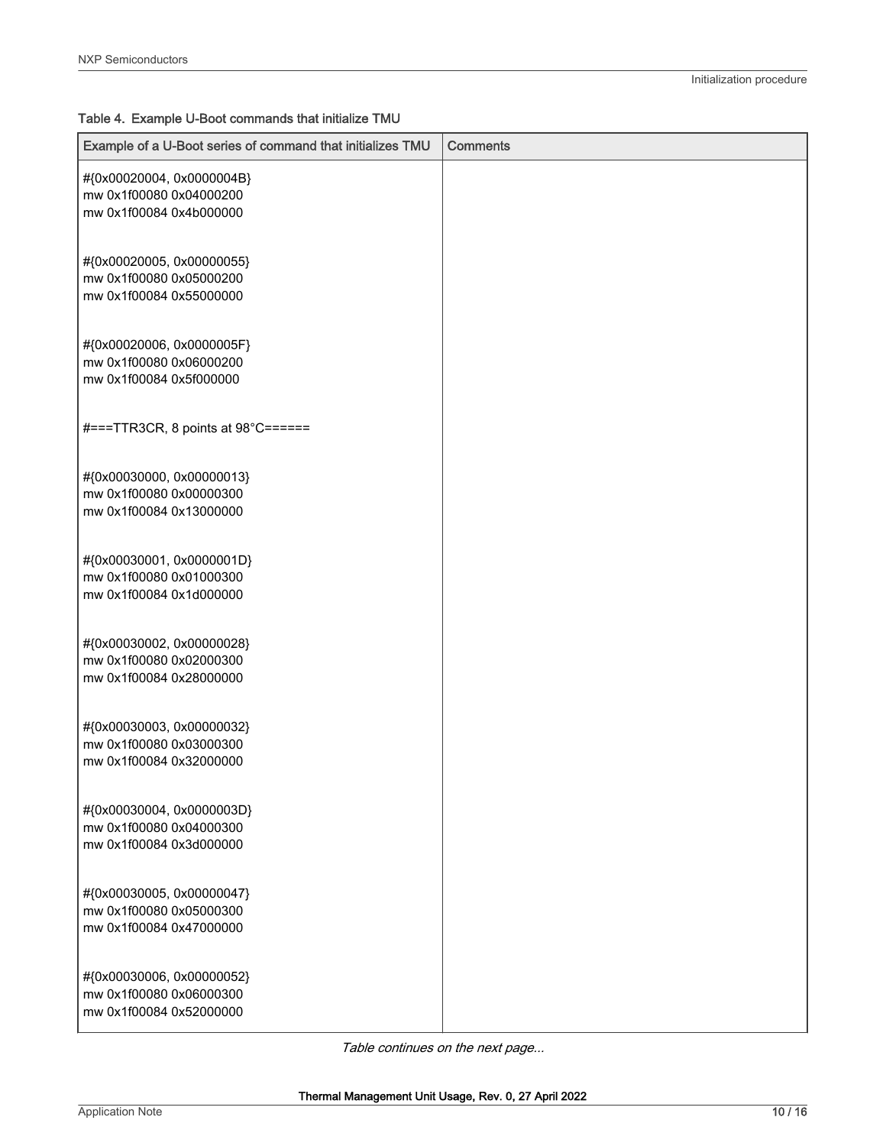| Example of a U-Boot series of command that initializes TMU                      | <b>Comments</b> |
|---------------------------------------------------------------------------------|-----------------|
| #{0x00020004, 0x0000004B}<br>mw 0x1f00080 0x04000200<br>mw 0x1f00084 0x4b000000 |                 |
| #{0x00020005, 0x00000055}<br>mw 0x1f00080 0x05000200<br>mw 0x1f00084 0x55000000 |                 |
| #{0x00020006, 0x0000005F}<br>mw 0x1f00080 0x06000200<br>mw 0x1f00084 0x5f000000 |                 |
| #===TTR3CR, 8 points at 98°C======                                              |                 |
| #{0x00030000, 0x00000013}<br>mw 0x1f00080 0x00000300<br>mw 0x1f00084 0x13000000 |                 |
| #{0x00030001, 0x0000001D}<br>mw 0x1f00080 0x01000300<br>mw 0x1f00084 0x1d000000 |                 |
| #{0x00030002, 0x00000028}<br>mw 0x1f00080 0x02000300<br>mw 0x1f00084 0x28000000 |                 |
| #{0x00030003, 0x00000032}<br>mw 0x1f00080 0x03000300<br>mw 0x1f00084 0x32000000 |                 |
| #{0x00030004, 0x0000003D}<br>mw 0x1f00080 0x04000300<br>mw 0x1f00084 0x3d000000 |                 |
| #{0x00030005, 0x00000047}<br>mw 0x1f00080 0x05000300<br>mw 0x1f00084 0x47000000 |                 |
| #{0x00030006, 0x00000052}<br>mw 0x1f00080 0x06000300<br>mw 0x1f00084 0x52000000 |                 |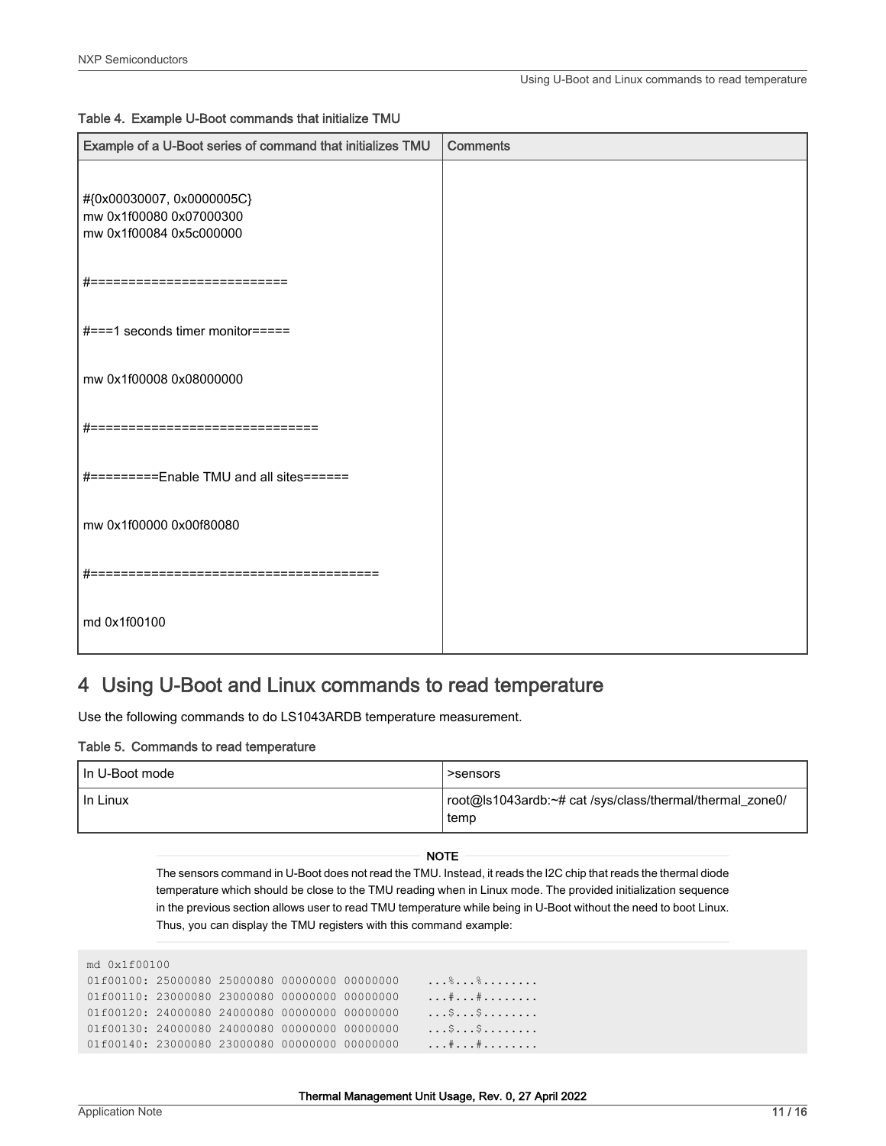<span id="page-10-0"></span>

| Example of a U-Boot series of command that initializes TMU                      | <b>Comments</b> |
|---------------------------------------------------------------------------------|-----------------|
| #{0x00030007, 0x0000005C}<br>mw 0x1f00080 0x07000300<br>mw 0x1f00084 0x5c000000 |                 |
| #===========================                                                    |                 |
| #===1 seconds timer monitor=====                                                |                 |
| mw 0x1f00008 0x08000000                                                         |                 |
| #===========================                                                    |                 |
| #=========Enable TMU and all sites======                                        |                 |
| mw 0x1f00000 0x00f80080                                                         |                 |
| $\# == == =$<br>==================================                              |                 |
| md 0x1f00100                                                                    |                 |

## 4 Using U-Boot and Linux commands to read temperature

Use the following commands to do LS1043ARDB temperature measurement.

#### Table 5. Commands to read temperature

| I In U-Boot mode | >sensors                                                         |
|------------------|------------------------------------------------------------------|
| I In Linux       | root@ls1043ardb:~# cat /sys/class/thermal/thermal_zone0/<br>temp |

NOTE

The sensors command in U-Boot does not read the TMU. Instead, it reads the I2C chip that reads the thermal diode temperature which should be close to the TMU reading when in Linux mode. The provided initialization sequence in the previous section allows user to read TMU temperature while being in U-Boot without the need to boot Linux. Thus, you can display the TMU registers with this command example:

| md 0x1f00100                                  |  |  |  |  |         |
|-----------------------------------------------|--|--|--|--|---------|
| 01f00100: 25000080 25000080 00000000 00000000 |  |  |  |  | . % %   |
| 01f00110: 23000080 23000080 00000000 00000000 |  |  |  |  | . # #   |
| 01f00120: 24000080 24000080 00000000 00000000 |  |  |  |  | . \$ \$ |
| 01f00130: 24000080 24000080 00000000 00000000 |  |  |  |  | . \$ \$ |
| 01f00140: 23000080 23000080 00000000 00000000 |  |  |  |  | . # #   |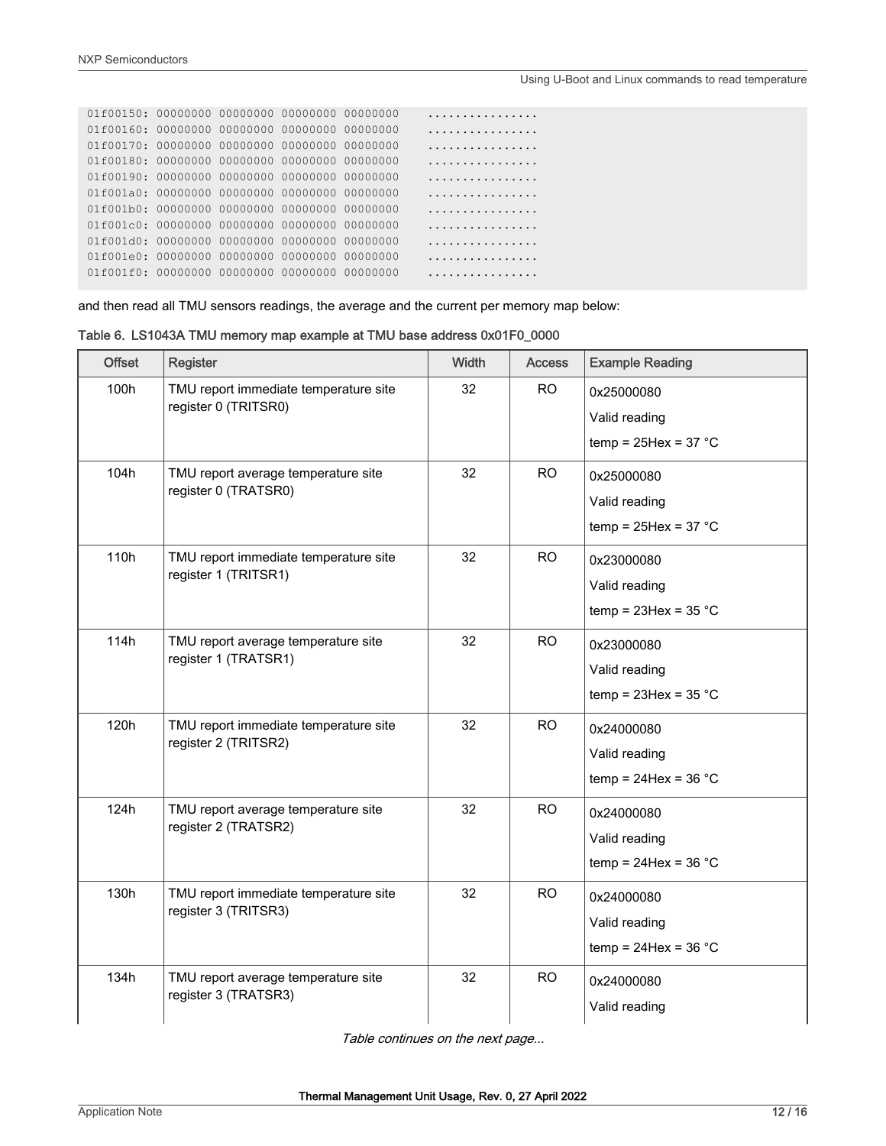#### Using U-Boot and Linux commands to read temperature

| $01f00150: 00000000 00000000 00000000 00000000$             |  |  | .          |
|-------------------------------------------------------------|--|--|------------|
|                                                             |  |  | .          |
| 01 £00170: 00000000 00000000 00000000 00000000              |  |  | .          |
| 01 £00180: 00000000 00000000 00000000 00000000              |  |  | .          |
|                                                             |  |  | . <b>.</b> |
| 01f001a0: 00000000 00000000 00000000 00000000               |  |  | .          |
|                                                             |  |  | .          |
| $0.1001 \text{ C}$ $0.00000000$ 000000000 00000000 00000000 |  |  | .          |
|                                                             |  |  | .          |
|                                                             |  |  | .          |
|                                                             |  |  | .          |
|                                                             |  |  |            |

and then read all TMU sensors readings, the average and the current per memory map below:

| Table 6. LS1043A TMU memory map example at TMU base address 0x01F0_0000 |  |  |  |  |  |  |  |  |  |  |  |  |
|-------------------------------------------------------------------------|--|--|--|--|--|--|--|--|--|--|--|--|
|-------------------------------------------------------------------------|--|--|--|--|--|--|--|--|--|--|--|--|

| <b>Offset</b> | <b>Register</b>                                               | Width | <b>Access</b> | <b>Example Reading</b>                                   |
|---------------|---------------------------------------------------------------|-------|---------------|----------------------------------------------------------|
| 100h          | TMU report immediate temperature site<br>register 0 (TRITSR0) | 32    | <b>RO</b>     | 0x25000080<br>Valid reading<br>temp = $25$ Hex = $37 °C$ |
| 104h          | TMU report average temperature site<br>register 0 (TRATSR0)   | 32    | <b>RO</b>     | 0x25000080<br>Valid reading<br>temp = $25$ Hex = $37 °C$ |
| 110h          | TMU report immediate temperature site<br>register 1 (TRITSR1) | 32    | <b>RO</b>     | 0x23000080<br>Valid reading<br>temp = $23$ Hex = $35 °C$ |
| 114h          | TMU report average temperature site<br>register 1 (TRATSR1)   | 32    | <b>RO</b>     | 0x23000080<br>Valid reading<br>temp = $23$ Hex = $35 °C$ |
| 120h          | TMU report immediate temperature site<br>register 2 (TRITSR2) | 32    | <b>RO</b>     | 0x24000080<br>Valid reading<br>temp = $24$ Hex = $36 °C$ |
| 124h          | TMU report average temperature site<br>register 2 (TRATSR2)   | 32    | <b>RO</b>     | 0x24000080<br>Valid reading<br>temp = $24$ Hex = $36 °C$ |
| 130h          | TMU report immediate temperature site<br>register 3 (TRITSR3) | 32    | <b>RO</b>     | 0x24000080<br>Valid reading<br>temp = $24$ Hex = $36 °C$ |
| 134h          | TMU report average temperature site<br>register 3 (TRATSR3)   | 32    | <b>RO</b>     | 0x24000080<br>Valid reading                              |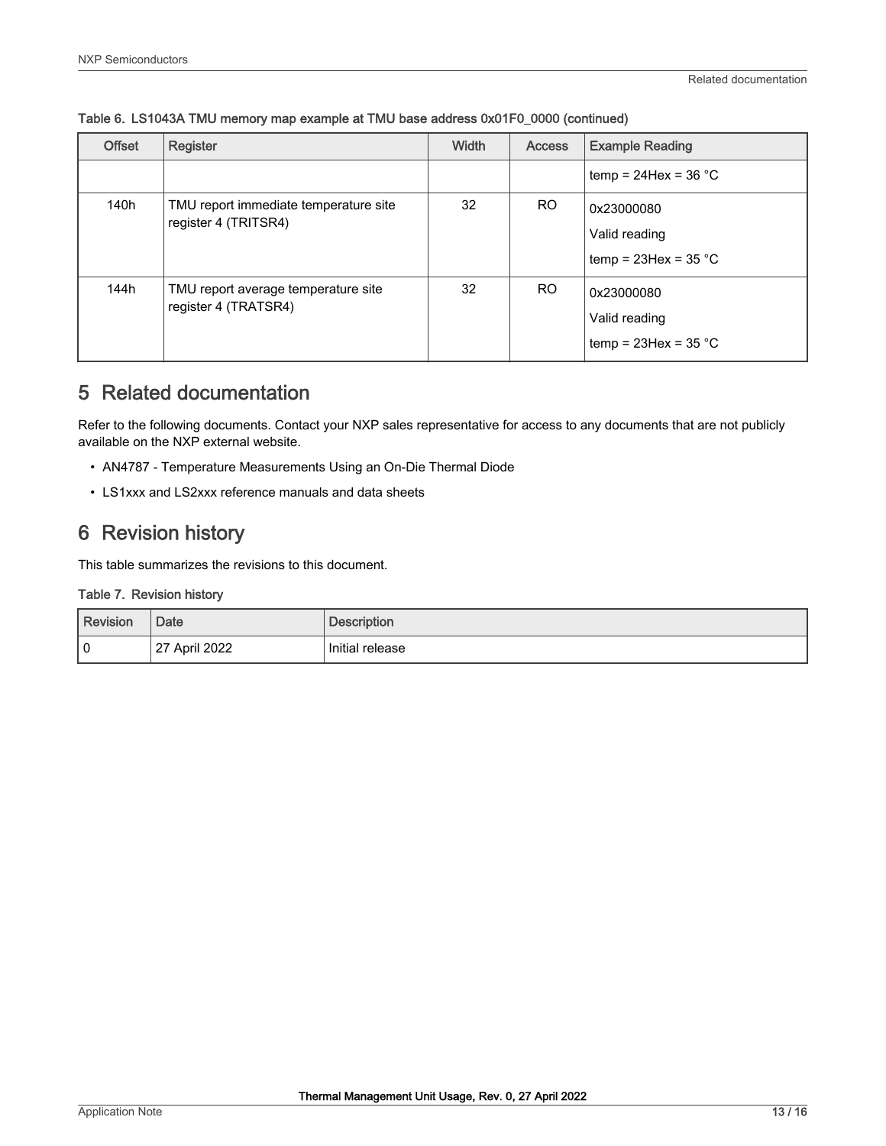| <b>Offset</b> | Register                                                      | Width | <b>Access</b> | <b>Example Reading</b>                                   |
|---------------|---------------------------------------------------------------|-------|---------------|----------------------------------------------------------|
|               |                                                               |       |               | temp = $24$ Hex = $36$ °C                                |
| 140h          | TMU report immediate temperature site<br>register 4 (TRITSR4) | 32    | <b>RO</b>     | 0x23000080<br>Valid reading<br>temp = $23$ Hex = $35$ °C |
| 144h          | TMU report average temperature site<br>register 4 (TRATSR4)   | 32    | RO.           | 0x23000080<br>Valid reading<br>temp = $23$ Hex = $35$ °C |

#### <span id="page-12-0"></span>Table 6. LS1043A TMU memory map example at TMU base address 0x01F0\_0000 (continued)

## 5 Related documentation

Refer to the following documents. Contact your NXP sales representative for access to any documents that are not publicly available on the NXP external website.

- AN4787 Temperature Measurements Using an On-Die Thermal Diode
- LS1xxx and LS2xxx reference manuals and data sheets

## 6 Revision history

This table summarizes the revisions to this document.

#### Table 7. Revision history

| Revision | Date              | <b>Description</b> |
|----------|-------------------|--------------------|
| l 0      | April 2022<br>127 | Initial release    |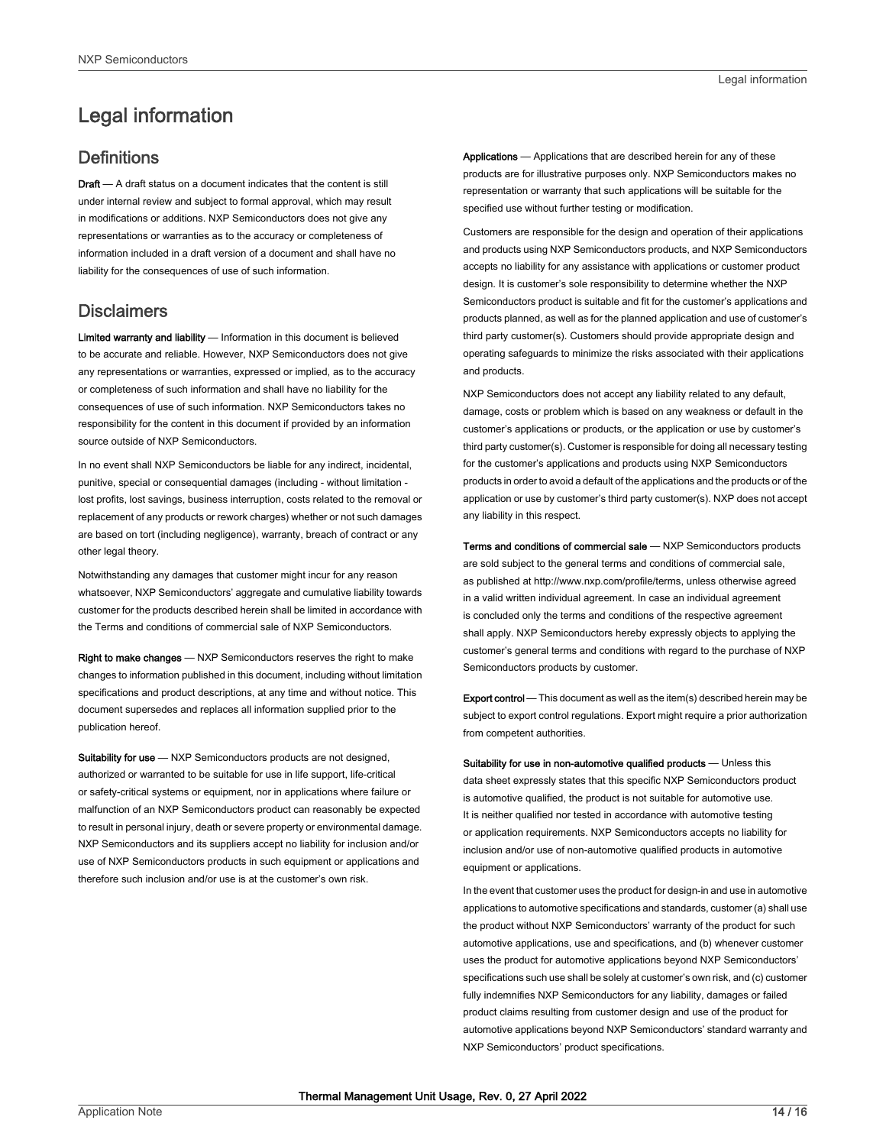## <span id="page-13-0"></span>Legal information

### **Definitions**

Draft - A draft status on a document indicates that the content is still under internal review and subject to formal approval, which may result in modifications or additions. NXP Semiconductors does not give any representations or warranties as to the accuracy or completeness of information included in a draft version of a document and shall have no liability for the consequences of use of such information.

#### **Disclaimers**

Limited warranty and liability - Information in this document is believed to be accurate and reliable. However, NXP Semiconductors does not give any representations or warranties, expressed or implied, as to the accuracy or completeness of such information and shall have no liability for the consequences of use of such information. NXP Semiconductors takes no responsibility for the content in this document if provided by an information source outside of NXP Semiconductors.

In no event shall NXP Semiconductors be liable for any indirect, incidental, punitive, special or consequential damages (including - without limitation lost profits, lost savings, business interruption, costs related to the removal or replacement of any products or rework charges) whether or not such damages are based on tort (including negligence), warranty, breach of contract or any other legal theory.

Notwithstanding any damages that customer might incur for any reason whatsoever, NXP Semiconductors' aggregate and cumulative liability towards customer for the products described herein shall be limited in accordance with the Terms and conditions of commercial sale of NXP Semiconductors.

Right to make changes — NXP Semiconductors reserves the right to make changes to information published in this document, including without limitation specifications and product descriptions, at any time and without notice. This document supersedes and replaces all information supplied prior to the publication hereof.

Suitability for use - NXP Semiconductors products are not designed, authorized or warranted to be suitable for use in life support, life-critical or safety-critical systems or equipment, nor in applications where failure or malfunction of an NXP Semiconductors product can reasonably be expected to result in personal injury, death or severe property or environmental damage. NXP Semiconductors and its suppliers accept no liability for inclusion and/or use of NXP Semiconductors products in such equipment or applications and therefore such inclusion and/or use is at the customer's own risk.

Applications — Applications that are described herein for any of these products are for illustrative purposes only. NXP Semiconductors makes no representation or warranty that such applications will be suitable for the specified use without further testing or modification.

Customers are responsible for the design and operation of their applications and products using NXP Semiconductors products, and NXP Semiconductors accepts no liability for any assistance with applications or customer product design. It is customer's sole responsibility to determine whether the NXP Semiconductors product is suitable and fit for the customer's applications and products planned, as well as for the planned application and use of customer's third party customer(s). Customers should provide appropriate design and operating safeguards to minimize the risks associated with their applications and products.

NXP Semiconductors does not accept any liability related to any default, damage, costs or problem which is based on any weakness or default in the customer's applications or products, or the application or use by customer's third party customer(s). Customer is responsible for doing all necessary testing for the customer's applications and products using NXP Semiconductors products in order to avoid a default of the applications and the products or of the application or use by customer's third party customer(s). NXP does not accept any liability in this respect.

Terms and conditions of commercial sale — NXP Semiconductors products are sold subject to the general terms and conditions of commercial sale, as published at http://www.nxp.com/profile/terms, unless otherwise agreed in a valid written individual agreement. In case an individual agreement is concluded only the terms and conditions of the respective agreement shall apply. NXP Semiconductors hereby expressly objects to applying the customer's general terms and conditions with regard to the purchase of NXP Semiconductors products by customer.

Export control - This document as well as the item(s) described herein may be subject to export control regulations. Export might require a prior authorization from competent authorities.

Suitability for use in non-automotive qualified products - Unless this data sheet expressly states that this specific NXP Semiconductors product is automotive qualified, the product is not suitable for automotive use. It is neither qualified nor tested in accordance with automotive testing or application requirements. NXP Semiconductors accepts no liability for inclusion and/or use of non-automotive qualified products in automotive equipment or applications.

In the event that customer uses the product for design-in and use in automotive applications to automotive specifications and standards, customer (a) shall use the product without NXP Semiconductors' warranty of the product for such automotive applications, use and specifications, and (b) whenever customer uses the product for automotive applications beyond NXP Semiconductors' specifications such use shall be solely at customer's own risk, and (c) customer fully indemnifies NXP Semiconductors for any liability, damages or failed product claims resulting from customer design and use of the product for automotive applications beyond NXP Semiconductors' standard warranty and NXP Semiconductors' product specifications.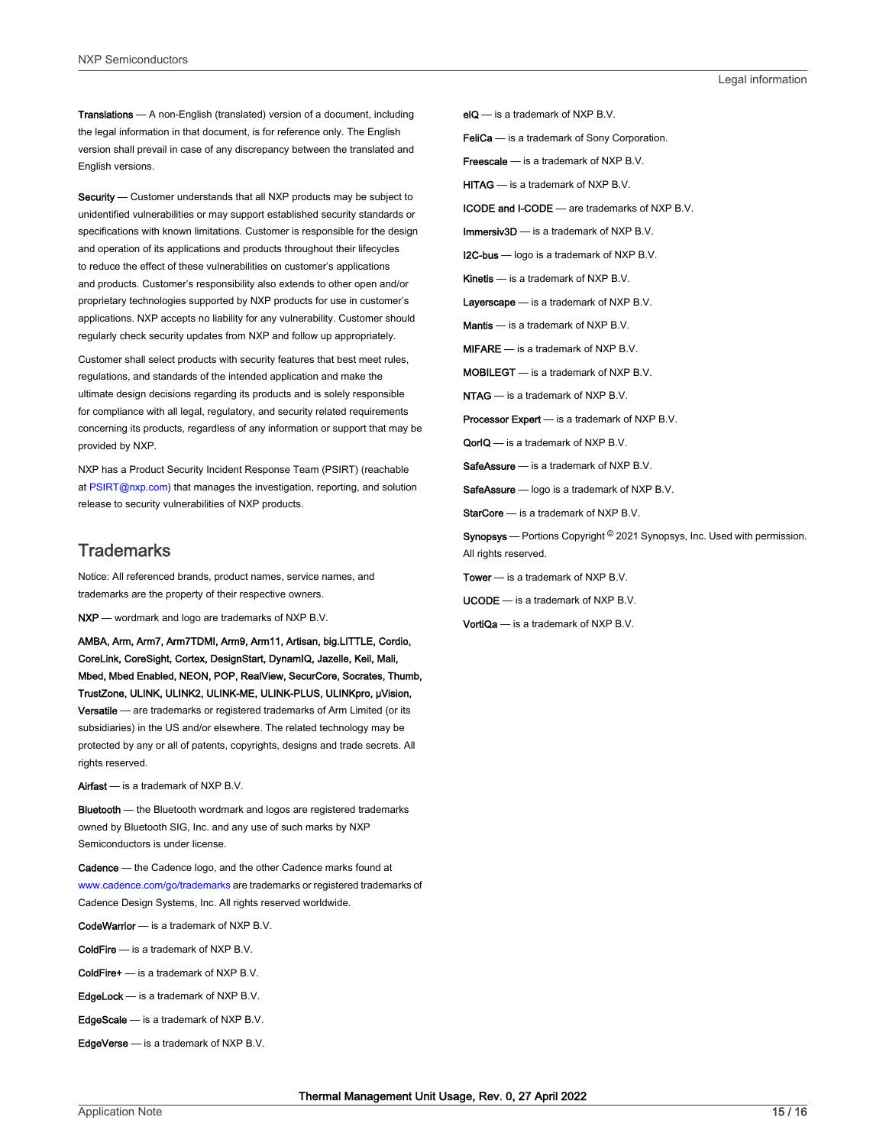Translations — A non-English (translated) version of a document, including the legal information in that document, is for reference only. The English version shall prevail in case of any discrepancy between the translated and English versions.

Security - Customer understands that all NXP products may be subject to unidentified vulnerabilities or may support established security standards or specifications with known limitations. Customer is responsible for the design and operation of its applications and products throughout their lifecycles to reduce the effect of these vulnerabilities on customer's applications and products. Customer's responsibility also extends to other open and/or proprietary technologies supported by NXP products for use in customer's applications. NXP accepts no liability for any vulnerability. Customer should regularly check security updates from NXP and follow up appropriately.

Customer shall select products with security features that best meet rules, regulations, and standards of the intended application and make the ultimate design decisions regarding its products and is solely responsible for compliance with all legal, regulatory, and security related requirements concerning its products, regardless of any information or support that may be provided by NXP.

NXP has a Product Security Incident Response Team (PSIRT) (reachable at [PSIRT@nxp.com\)](mailto:PSIRT@nxp.com) that manages the investigation, reporting, and solution release to security vulnerabilities of NXP products.

#### **Trademarks**

Notice: All referenced brands, product names, service names, and trademarks are the property of their respective owners.

NXP — wordmark and logo are trademarks of NXP B.V.

AMBA, Arm, Arm7, Arm7TDMI, Arm9, Arm11, Artisan, big.LITTLE, Cordio, CoreLink, CoreSight, Cortex, DesignStart, DynamIQ, Jazelle, Keil, Mali, Mbed, Mbed Enabled, NEON, POP, RealView, SecurCore, Socrates, Thumb, TrustZone, ULINK, ULINK2, ULINK-ME, ULINK-PLUS, ULINKpro, μVision, Versatile — are trademarks or registered trademarks of Arm Limited (or its subsidiaries) in the US and/or elsewhere. The related technology may be protected by any or all of patents, copyrights, designs and trade secrets. All rights reserved.

Airfast — is a trademark of NXP B.V.

**Bluetooth** — the Bluetooth wordmark and logos are registered trademarks owned by Bluetooth SIG, Inc. and any use of such marks by NXP Semiconductors is under license.

Cadence — the Cadence logo, and the other Cadence marks found at [www.cadence.com/go/trademarks](http://www.cadence.com/go/trademarks) are trademarks or registered trademarks of Cadence Design Systems, Inc. All rights reserved worldwide.

CodeWarrior — is a trademark of NXP B.V.

- ColdFire is a trademark of NXP B.V.
- ColdFire+ is a trademark of NXP B.V.
- EdgeLock is a trademark of NXP B.V.
- EdgeScale is a trademark of NXP B.V.
- EdgeVerse is a trademark of NXP B.V.

elQ - is a trademark of NXP B.V.

FeliCa - is a trademark of Sony Corporation.

**Freescale** — is a trademark of NXP B.V.

HITAG — is a trademark of NXP B.V.

ICODE and I-CODE — are trademarks of NXP B.V.

Immersiv3D — is a trademark of NXP B.V.

**I2C-bus** — logo is a trademark of NXP B.V.

Kinetis - is a trademark of NXP B.V.

Layerscape - is a trademark of NXP B.V.

Mantis — is a trademark of NXP B.V.

MIFARE — is a trademark of NXP B.V.

MOBILEGT — is a trademark of NXP B.V.

NTAG — is a trademark of NXP B.V.

Processor Expert - is a trademark of NXP B.V.

QorIQ - is a trademark of NXP B.V.

SafeAssure — is a trademark of NXP B.V.

SafeAssure - logo is a trademark of NXP B.V.

StarCore - is a trademark of NXP B.V.

Synopsys - Portions Copyright <sup>©</sup> 2021 Synopsys, Inc. Used with permission. All rights reserved.

Tower — is a trademark of NXP B.V.

UCODE — is a trademark of NXP B.V.

VortiQa — is a trademark of NXP B.V.